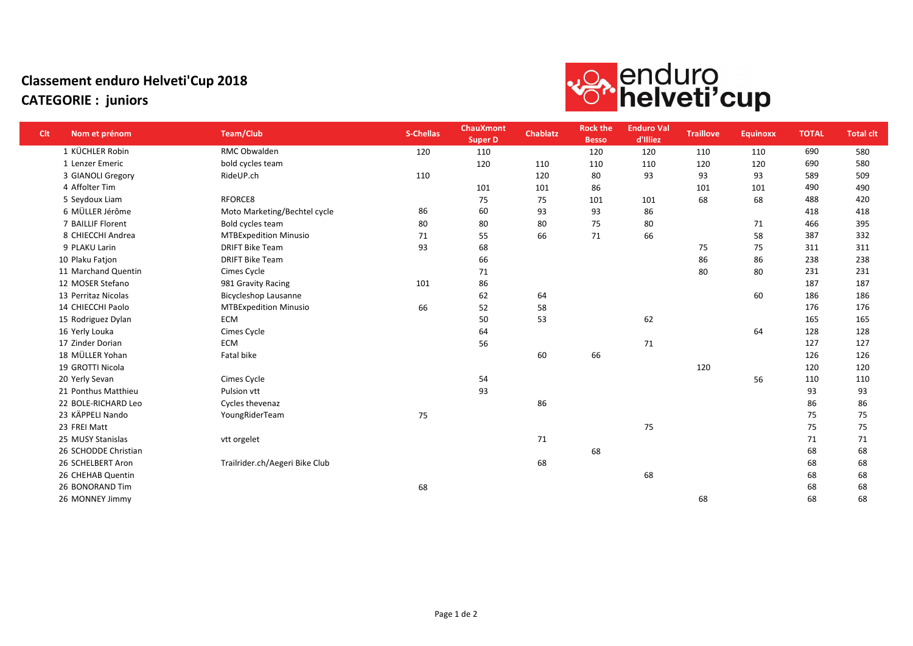## Classement enduro Helveti'Cup 2018 CATEGORIE : juniors



| <b>Clt</b> | Nom et prénom        | <b>Team/Club</b>               | <b>S-Chellas</b> | <b>ChauXmont</b><br><b>Super D</b> | <b>Chablatz</b> | <b>Rock the</b><br><b>Besso</b> | <b>Enduro Val</b><br>d'Illiez | <b>Traillove</b> | <b>Equinoxx</b> | <b>TOTAL</b> | <b>Total clt</b> |
|------------|----------------------|--------------------------------|------------------|------------------------------------|-----------------|---------------------------------|-------------------------------|------------------|-----------------|--------------|------------------|
|            | 1 KÜCHLER Robin      | RMC Obwalden                   | 120              | 110                                |                 | 120                             | 120                           | 110              | 110             | 690          | 580              |
|            | 1 Lenzer Emeric      | bold cycles team               |                  | 120                                | 110             | 110                             | 110                           | 120              | 120             | 690          | 580              |
|            | 3 GIANOLI Gregory    | RideUP.ch                      | 110              |                                    | 120             | 80                              | 93                            | 93               | 93              | 589          | 509              |
|            | 4 Affolter Tim       |                                |                  | 101                                | 101             | 86                              |                               | 101              | 101             | 490          | 490              |
|            | 5 Seydoux Liam       | RFORCE8                        |                  | 75                                 | 75              | 101                             | 101                           | 68               | 68              | 488          | 420              |
|            | 6 MÜLLER Jérôme      | Moto Marketing/Bechtel cycle   | 86               | 60                                 | 93              | 93                              | 86                            |                  |                 | 418          | 418              |
|            | 7 BAILLIF Florent    | Bold cycles team               | 80               | 80                                 | 80              | 75                              | 80                            |                  | 71              | 466          | 395              |
|            | 8 CHIECCHI Andrea    | <b>MTBExpedition Minusio</b>   | 71               | 55                                 | 66              | 71                              | 66                            |                  | 58              | 387          | 332              |
|            | 9 PLAKU Larin        | <b>DRIFT Bike Team</b>         | 93               | 68                                 |                 |                                 |                               | 75               | 75              | 311          | 311              |
|            | 10 Plaku Fatjon      | <b>DRIFT Bike Team</b>         |                  | 66                                 |                 |                                 |                               | 86               | 86              | 238          | 238              |
|            | 11 Marchand Quentin  | Cimes Cycle                    |                  | 71                                 |                 |                                 |                               | 80               | 80              | 231          | 231              |
|            | 12 MOSER Stefano     | 981 Gravity Racing             | 101              | 86                                 |                 |                                 |                               |                  |                 | 187          | 187              |
|            | 13 Perritaz Nicolas  | <b>Bicycleshop Lausanne</b>    |                  | 62                                 | 64              |                                 |                               |                  | 60              | 186          | 186              |
|            | 14 CHIECCHI Paolo    | <b>MTBExpedition Minusio</b>   | 66               | 52                                 | 58              |                                 |                               |                  |                 | 176          | 176              |
|            | 15 Rodriguez Dylan   | <b>ECM</b>                     |                  | 50                                 | 53              |                                 | 62                            |                  |                 | 165          | 165              |
|            | 16 Yerly Louka       | Cimes Cycle                    |                  | 64                                 |                 |                                 |                               |                  | 64              | 128          | 128              |
|            | 17 Zinder Dorian     | <b>ECM</b>                     |                  | 56                                 |                 |                                 | 71                            |                  |                 | 127          | 127              |
|            | 18 MÜLLER Yohan      | Fatal bike                     |                  |                                    | 60              | 66                              |                               |                  |                 | 126          | 126              |
|            | 19 GROTTI Nicola     |                                |                  |                                    |                 |                                 |                               | 120              |                 | 120          | 120              |
|            | 20 Yerly Sevan       | Cimes Cycle                    |                  | 54                                 |                 |                                 |                               |                  | 56              | 110          | 110              |
|            | 21 Ponthus Matthieu  | Pulsion vtt                    |                  | 93                                 |                 |                                 |                               |                  |                 | 93           | 93               |
|            | 22 BOLE-RICHARD Leo  | Cycles thevenaz                |                  |                                    | 86              |                                 |                               |                  |                 | 86           | 86               |
|            | 23 KÄPPELI Nando     | YoungRiderTeam                 | 75               |                                    |                 |                                 |                               |                  |                 | 75           | 75               |
|            | 23 FREI Matt         |                                |                  |                                    |                 |                                 | 75                            |                  |                 | 75           | 75               |
|            | 25 MUSY Stanislas    | vtt orgelet                    |                  |                                    | 71              |                                 |                               |                  |                 | 71           | 71               |
|            | 26 SCHODDE Christian |                                |                  |                                    |                 | 68                              |                               |                  |                 | 68           | 68               |
|            | 26 SCHELBERT Aron    | Trailrider.ch/Aegeri Bike Club |                  |                                    | 68              |                                 |                               |                  |                 | 68           | 68               |
|            | 26 CHEHAB Quentin    |                                |                  |                                    |                 |                                 | 68                            |                  |                 | 68           | 68               |
|            | 26 BONORAND Tim      |                                | 68               |                                    |                 |                                 |                               |                  |                 | 68           | 68               |
|            | 26 MONNEY Jimmy      |                                |                  |                                    |                 |                                 |                               | 68               |                 | 68           | 68               |